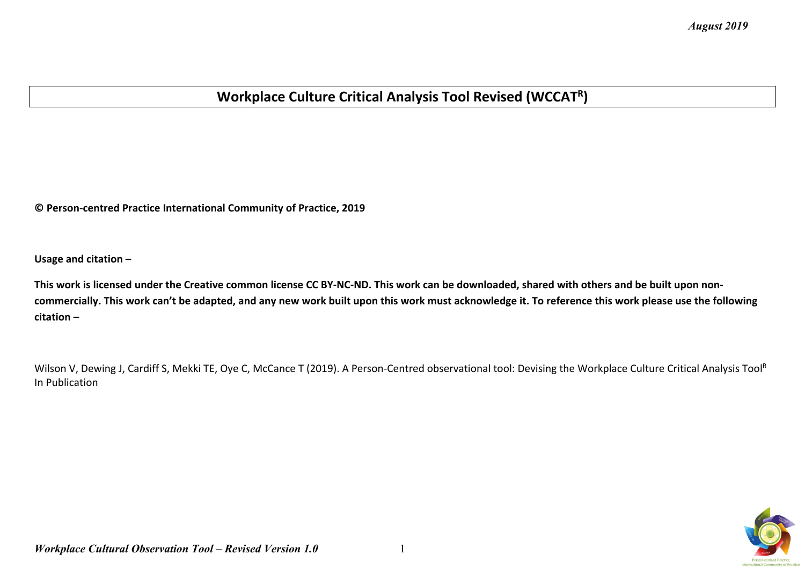# **Workplace Culture Critical Analysis Tool Revised (WCCATR)**

**© Person-centred Practice International Community of Practice, 2019**

**Usage and citation –**

**This work is licensed under the Creative common license CC BY-NC-ND. This work can be downloaded, shared with others and be built upon noncommercially. This work can't be adapted, and any new work built upon this work must acknowledge it. To reference this work please use the following citation –**

Wilson V, Dewing J, Cardiff S, Mekki TE, Oye C, McCance T (2019). A Person-Centred observational tool: Devising the Workplace Culture Critical Analysis Tool<sup>R</sup> In Publication

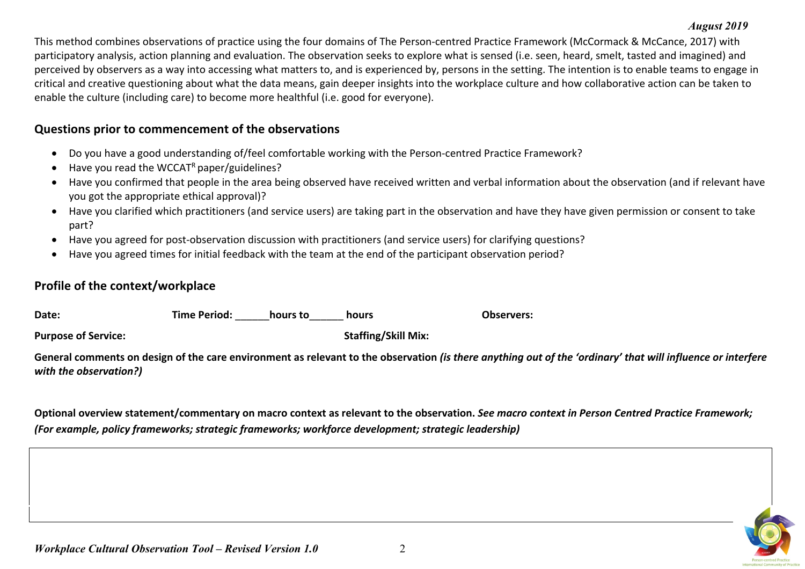This method combines observations of practice using the four domains of The Person-centred Practice Framework (McCormack & McCance, 2017) with participatory analysis, action planning and evaluation. The observation seeks to explore what is sensed (i.e. seen, heard, smelt, tasted and imagined) and perceived by observers as a way into accessing what matters to, and is experienced by, persons in the setting. The intention is to enable teams to engage in critical and creative questioning about what the data means, gain deeper insights into the workplace culture and how collaborative action can be taken to enable the culture (including care) to become more healthful (i.e. good for everyone).

### **Questions prior to commencement of the observations**

- Do you have a good understanding of/feel comfortable working with the Person-centred Practice Framework?
- $\bullet$  Have you read the WCCAT<sup>R</sup> paper/guidelines?
- Have you confirmed that people in the area being observed have received written and verbal information about the observation (and if relevant have you got the appropriate ethical approval)?
- Have you clarified which practitioners (and service users) are taking part in the observation and have they have given permission or consent to take part?
- Have you agreed for post-observation discussion with practitioners (and service users) for clarifying questions?
- Have you agreed times for initial feedback with the team at the end of the participant observation period?

### **Profile of the context/workplace**

**Purpose of Service:** Staffing/Skill Mix:

**General comments on design of the care environment as relevant to the observation** *(is there anything out of the 'ordinary' that will influence or interfere with the observation?)*

**Optional overview statement/commentary on macro context as relevant to the observation.** *See macro context in Person Centred Practice Framework; (For example, policy frameworks; strategic frameworks; workforce development; strategic leadership)*

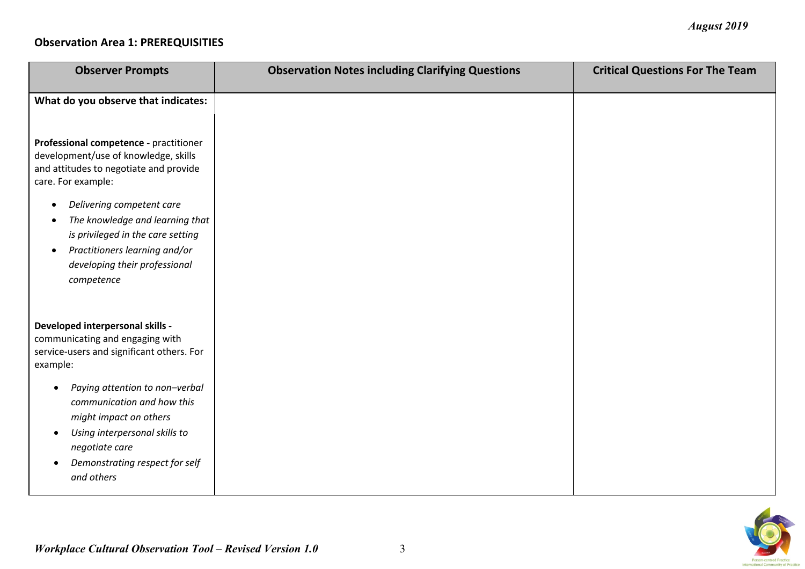## **Observation Area 1: PREREQUISITIES**

| <b>Observer Prompts</b>                                                                                                                                                                                             | <b>Observation Notes including Clarifying Questions</b> | <b>Critical Questions For The Team</b> |
|---------------------------------------------------------------------------------------------------------------------------------------------------------------------------------------------------------------------|---------------------------------------------------------|----------------------------------------|
| What do you observe that indicates:                                                                                                                                                                                 |                                                         |                                        |
| Professional competence - practitioner<br>development/use of knowledge, skills<br>and attitudes to negotiate and provide<br>care. For example:                                                                      |                                                         |                                        |
| Delivering competent care<br>$\bullet$<br>The knowledge and learning that<br>٠<br>is privileged in the care setting<br>Practitioners learning and/or<br>$\bullet$<br>developing their professional<br>competence    |                                                         |                                        |
| Developed interpersonal skills -<br>communicating and engaging with<br>service-users and significant others. For<br>example:                                                                                        |                                                         |                                        |
| Paying attention to non-verbal<br>$\bullet$<br>communication and how this<br>might impact on others<br>Using interpersonal skills to<br>$\bullet$<br>negotiate care<br>Demonstrating respect for self<br>and others |                                                         |                                        |

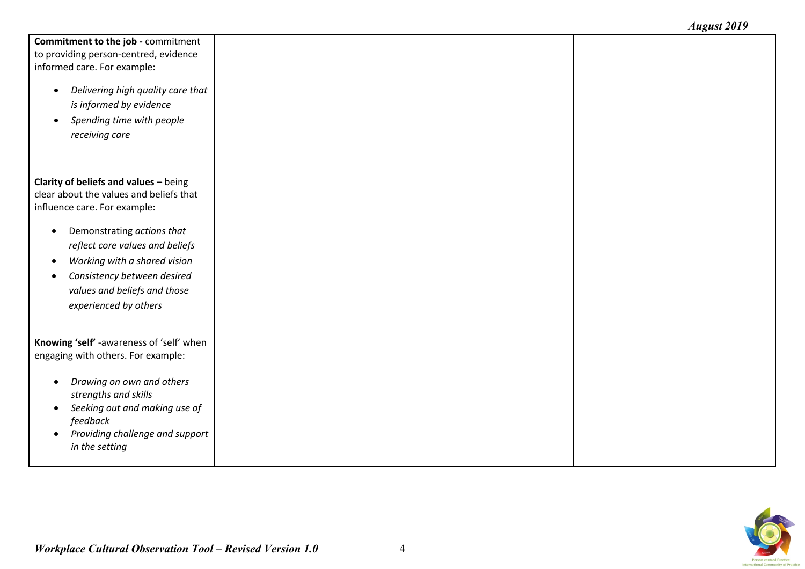**Commitment to the job -** commitment to providing person-centred, evidence informed care. For example:

- *Delivering high quality care that is informed by evidence*
- *Spending time with people receiving care*

**Clarity of beliefs and values –** being clear about the values and beliefs that influence care. For example:

- Demonstrating *actions that reflect core values and beliefs*
- *Working with a shared vision*
- *Consistency between desired values and beliefs and those experienced by others*

**Knowing 'self'** -awareness of 'self' when engaging with others. For example:

- *Drawing on own and others strengths and skills*
- *Seeking out and making use of feedback*
- *Providing challenge and support in the setting*

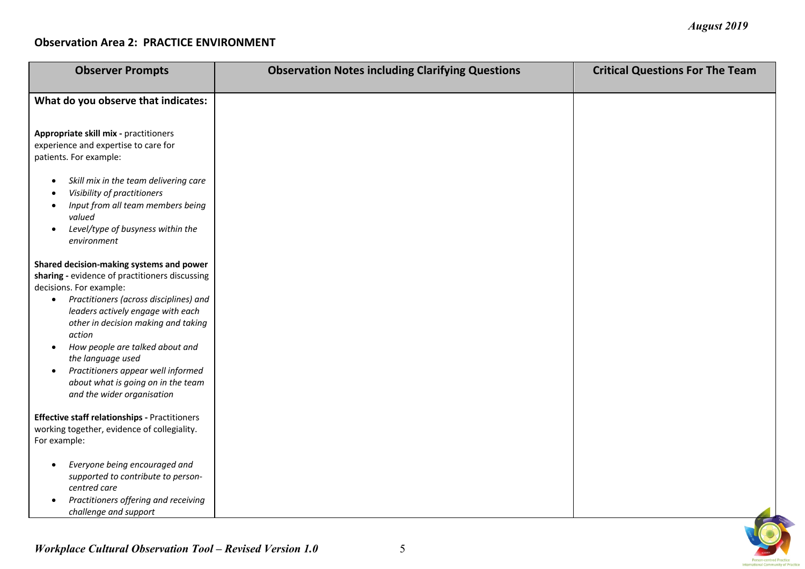#### **Observation Area 2: PRACTICE ENVIRONMENT**

| <b>Observer Prompts</b>                                                                                                                                                                                                     | <b>Observation Notes including Clarifying Questions</b> | <b>Critical Questions For The Team</b> |
|-----------------------------------------------------------------------------------------------------------------------------------------------------------------------------------------------------------------------------|---------------------------------------------------------|----------------------------------------|
| What do you observe that indicates:                                                                                                                                                                                         |                                                         |                                        |
| Appropriate skill mix - practitioners<br>experience and expertise to care for<br>patients. For example:                                                                                                                     |                                                         |                                        |
| Skill mix in the team delivering care<br>$\bullet$<br>Visibility of practitioners<br>$\bullet$<br>Input from all team members being<br>$\bullet$<br>valued<br>Level/type of busyness within the<br>$\bullet$<br>environment |                                                         |                                        |
| Shared decision-making systems and power<br>sharing - evidence of practitioners discussing<br>decisions. For example:                                                                                                       |                                                         |                                        |
| Practitioners (across disciplines) and<br>$\bullet$<br>leaders actively engage with each<br>other in decision making and taking<br>action                                                                                   |                                                         |                                        |
| How people are talked about and<br>$\bullet$<br>the language used<br>Practitioners appear well informed<br>$\bullet$                                                                                                        |                                                         |                                        |
| about what is going on in the team<br>and the wider organisation                                                                                                                                                            |                                                         |                                        |
| <b>Effective staff relationships - Practitioners</b><br>working together, evidence of collegiality.<br>For example:                                                                                                         |                                                         |                                        |
| Everyone being encouraged and<br>$\bullet$<br>supported to contribute to person-<br>centred care                                                                                                                            |                                                         |                                        |
| Practitioners offering and receiving<br>challenge and support                                                                                                                                                               |                                                         |                                        |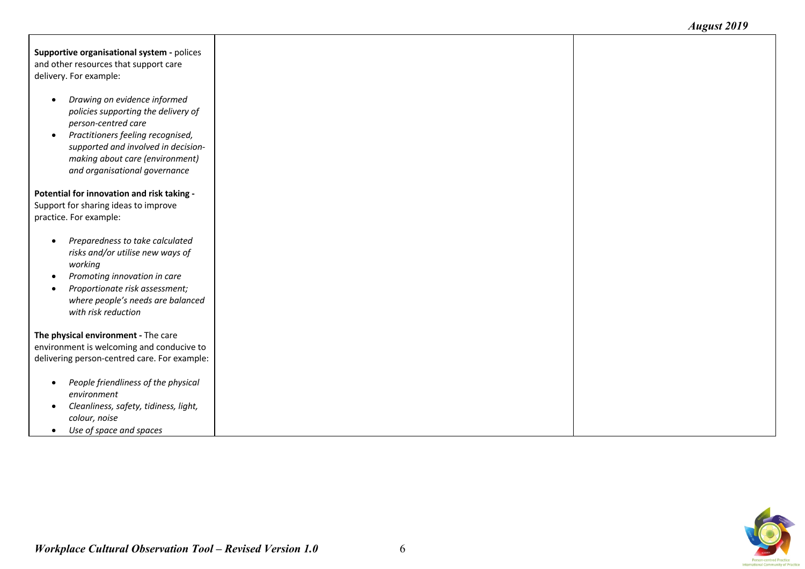| Supportive organisational system - polices<br>and other resources that support care<br>delivery. For example:                                                                                                                                                        |  |
|----------------------------------------------------------------------------------------------------------------------------------------------------------------------------------------------------------------------------------------------------------------------|--|
| Drawing on evidence informed<br>$\bullet$<br>policies supporting the delivery of<br>person-centred care<br>Practitioners feeling recognised,<br>$\bullet$<br>supported and involved in decision-<br>making about care (environment)<br>and organisational governance |  |
| Potential for innovation and risk taking -<br>Support for sharing ideas to improve<br>practice. For example:                                                                                                                                                         |  |
| Preparedness to take calculated<br>$\bullet$<br>risks and/or utilise new ways of<br>working<br>Promoting innovation in care<br>O<br>Proportionate risk assessment;<br>$\bullet$<br>where people's needs are balanced<br>with risk reduction                          |  |
| The physical environment - The care<br>environment is welcoming and conducive to<br>delivering person-centred care. For example:                                                                                                                                     |  |
| People friendliness of the physical<br>$\bullet$<br>environment<br>Cleanliness, safety, tidiness, light,<br>$\bullet$<br>colour, noise<br>Use of space and spaces<br>$\bullet$                                                                                       |  |

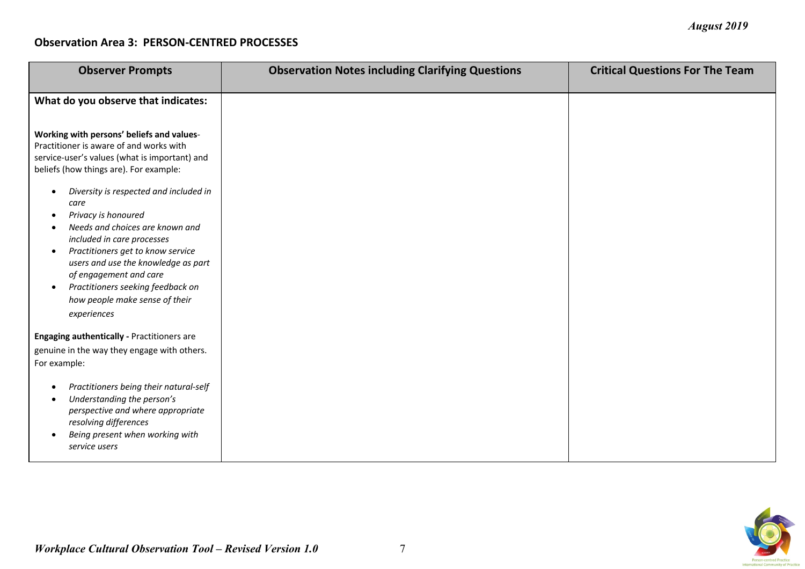### **Observation Area 3: PERSON-CENTRED PROCESSES**

| <b>Observer Prompts</b>                                                                                                                                                                                                                                                                                                                                                                | <b>Observation Notes including Clarifying Questions</b> | <b>Critical Questions For The Team</b> |
|----------------------------------------------------------------------------------------------------------------------------------------------------------------------------------------------------------------------------------------------------------------------------------------------------------------------------------------------------------------------------------------|---------------------------------------------------------|----------------------------------------|
| What do you observe that indicates:                                                                                                                                                                                                                                                                                                                                                    |                                                         |                                        |
| Working with persons' beliefs and values-<br>Practitioner is aware of and works with<br>service-user's values (what is important) and<br>beliefs (how things are). For example:                                                                                                                                                                                                        |                                                         |                                        |
| Diversity is respected and included in<br>$\bullet$<br>care<br>Privacy is honoured<br>$\bullet$<br>Needs and choices are known and<br>included in care processes<br>Practitioners get to know service<br>$\bullet$<br>users and use the knowledge as part<br>of engagement and care<br>Practitioners seeking feedback on<br>$\bullet$<br>how people make sense of their<br>experiences |                                                         |                                        |
| <b>Engaging authentically - Practitioners are</b><br>genuine in the way they engage with others.<br>For example:                                                                                                                                                                                                                                                                       |                                                         |                                        |
| Practitioners being their natural-self<br>$\bullet$<br>Understanding the person's<br>$\bullet$<br>perspective and where appropriate<br>resolving differences<br>Being present when working with<br>$\bullet$<br>service users                                                                                                                                                          |                                                         |                                        |

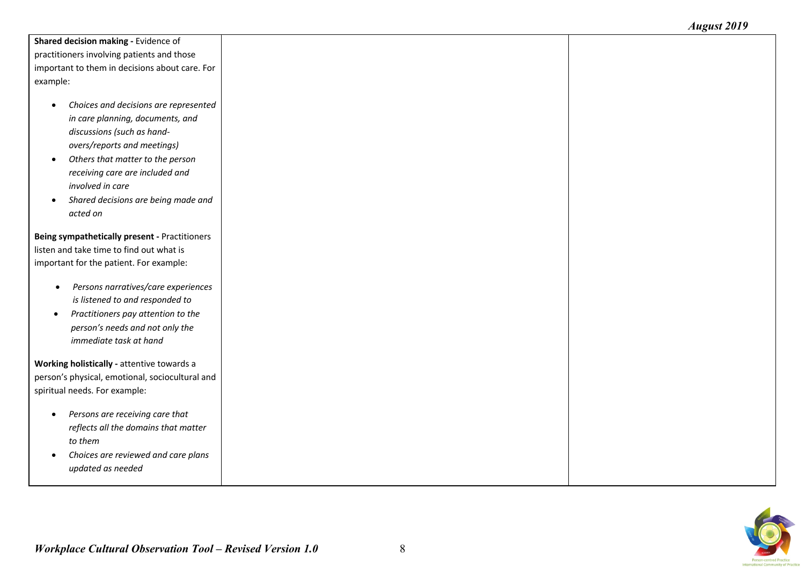**Shared decision making -** Evidence of practitioners involving patients and those important to them in decisions about care. For example:

- *Choices and decisions are represented in care planning, documents, and discussions (such as handovers/reports and meetings)*
- *Others that matter to the person receiving care are included and involved in care*
- *Shared decisions are being made and acted on*

**Being sympathetically present -** Practitioners listen and take time to find out what is important for the patient. For example:

- *Persons narratives/care experiences is listened to and responded to*
- *Practitioners pay attention to the person's needs and not only the immediate task at hand*

**Working holistically -** attentive towards a person's physical, emotional, sociocultural and spiritual needs. For example:

- *Persons are receiving care that reflects all the domains that matter to them*
- *Choices are reviewed and care plans updated as needed*